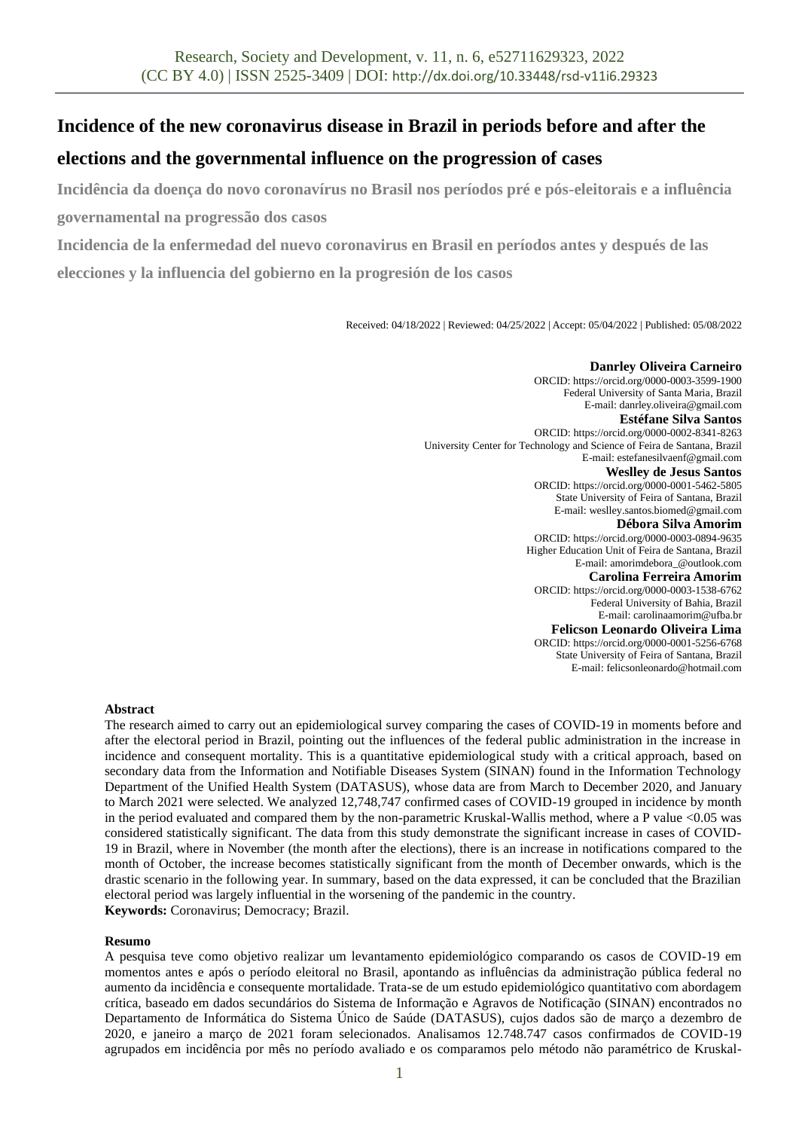# **Incidence of the new coronavirus disease in Brazil in periods before and after the**

# **elections and the governmental influence on the progression of cases**

**Incidência da doença do novo coronavírus no Brasil nos períodos pré e pós-eleitorais e a influência governamental na progressão dos casos**

**Incidencia de la enfermedad del nuevo coronavirus en Brasil en períodos antes y después de las** 

**elecciones y la influencia del gobierno en la progresión de los casos**

Received: 04/18/2022 | Reviewed: 04/25/2022 | Accept: 05/04/2022 | Published: 05/08/2022

**Danrley Oliveira Carneiro** ORCID: https://orcid.org/0000-0003-3599-1900 Federal University of Santa Maria, Brazil E-mail: danrley.oliveira@gmail.com **Estéfane Silva Santos** ORCID: https://orcid.org/0000-0002-8341-8263 University Center for Technology and Science of Feira de Santana, Brazil E-mail: estefanesilvaenf@gmail.com **Weslley de Jesus Santos** ORCID: https://orcid.org/0000-0001-5462-5805 State University of Feira of Santana, Brazil E-mail: weslley.santos.biomed@gmail.com **Débora Silva Amorim** ORCID: https://orcid.org/0000-0003-0894-9635 Higher Education Unit of Feira de Santana, Brazil E-mail: amorimdebora\_@outlook.com **Carolina Ferreira Amorim** ORCID: https://orcid.org/0000-0003-1538-6762 Federal University of Bahia, Brazil E-mail: carolinaamorim@ufba.br **Felicson Leonardo Oliveira Lima** ORCID: https://orcid.org/0000-0001-5256-6768 State University of Feira of Santana, Brazil

E-mail: felicsonleonardo@hotmail.com

### **Abstract**

The research aimed to carry out an epidemiological survey comparing the cases of COVID-19 in moments before and after the electoral period in Brazil, pointing out the influences of the federal public administration in the increase in incidence and consequent mortality. This is a quantitative epidemiological study with a critical approach, based on secondary data from the Information and Notifiable Diseases System (SINAN) found in the Information Technology Department of the Unified Health System (DATASUS), whose data are from March to December 2020, and January to March 2021 were selected. We analyzed 12,748,747 confirmed cases of COVID-19 grouped in incidence by month in the period evaluated and compared them by the non-parametric Kruskal-Wallis method, where a P value <0.05 was considered statistically significant. The data from this study demonstrate the significant increase in cases of COVID-19 in Brazil, where in November (the month after the elections), there is an increase in notifications compared to the month of October, the increase becomes statistically significant from the month of December onwards, which is the drastic scenario in the following year. In summary, based on the data expressed, it can be concluded that the Brazilian electoral period was largely influential in the worsening of the pandemic in the country. **Keywords:** Coronavirus; Democracy; Brazil.

### **Resumo**

A pesquisa teve como objetivo realizar um levantamento epidemiológico comparando os casos de COVID-19 em momentos antes e após o período eleitoral no Brasil, apontando as influências da administração pública federal no aumento da incidência e consequente mortalidade. Trata-se de um estudo epidemiológico quantitativo com abordagem crítica, baseado em dados secundários do Sistema de Informação e Agravos de Notificação (SINAN) encontrados no Departamento de Informática do Sistema Único de Saúde (DATASUS), cujos dados são de março a dezembro de 2020, e janeiro a março de 2021 foram selecionados. Analisamos 12.748.747 casos confirmados de COVID-19 agrupados em incidência por mês no período avaliado e os comparamos pelo método não paramétrico de Kruskal-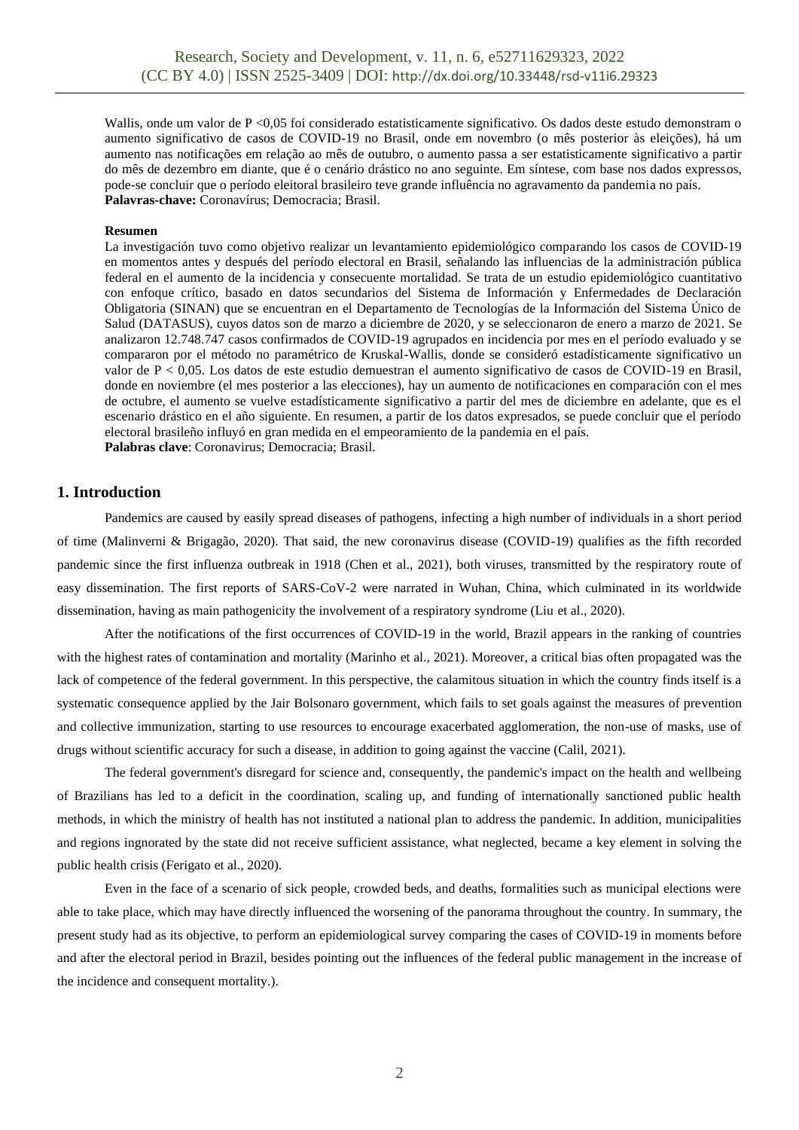Wallis, onde um valor de P <0,05 foi considerado estatisticamente significativo. Os dados deste estudo demonstram o aumento significativo de casos de COVID-19 no Brasil, onde em novembro (o mês posterior às eleições), há um aumento nas notificações em relação ao mês de outubro, o aumento passa a ser estatisticamente significativo a partir do mês de dezembro em diante, que é o cenário drástico no ano seguinte. Em síntese, com base nos dados expressos, pode-se concluir que o período eleitoral brasileiro teve grande influência no agravamento da pandemia no país. **Palavras-chave:** Coronavírus; Democracia; Brasil.

#### **Resumen**

La investigación tuvo como objetivo realizar un levantamiento epidemiológico comparando los casos de COVID-19 en momentos antes y después del período electoral en Brasil, señalando las influencias de la administración pública federal en el aumento de la incidencia y consecuente mortalidad. Se trata de un estudio epidemiológico cuantitativo con enfoque crítico, basado en datos secundarios del Sistema de Información y Enfermedades de Declaración Obligatoria (SINAN) que se encuentran en el Departamento de Tecnologías de la Información del Sistema Único de Salud (DATASUS), cuyos datos son de marzo a diciembre de 2020, y se seleccionaron de enero a marzo de 2021. Se analizaron 12.748.747 casos confirmados de COVID-19 agrupados en incidencia por mes en el período evaluado y se compararon por el método no paramétrico de Kruskal-Wallis, donde se consideró estadísticamente significativo un valor de P < 0,05. Los datos de este estudio demuestran el aumento significativo de casos de COVID-19 en Brasil, donde en noviembre (el mes posterior a las elecciones), hay un aumento de notificaciones en comparación con el mes de octubre, el aumento se vuelve estadísticamente significativo a partir del mes de diciembre en adelante, que es el escenario drástico en el año siguiente. En resumen, a partir de los datos expresados, se puede concluir que el período electoral brasileño influyó en gran medida en el empeoramiento de la pandemia en el país. **Palabras clave**: Coronavirus; Democracia; Brasil.

### **1. Introduction**

Pandemics are caused by easily spread diseases of pathogens, infecting a high number of individuals in a short period of time (Malinverni & Brigagão, 2020). That said, the new coronavirus disease (COVID-19) qualifies as the fifth recorded pandemic since the first influenza outbreak in 1918 (Chen et al., 2021), both viruses, transmitted by the respiratory route of easy dissemination. The first reports of SARS-CoV-2 were narrated in Wuhan, China, which culminated in its worldwide dissemination, having as main pathogenicity the involvement of a respiratory syndrome (Liu et al., 2020).

After the notifications of the first occurrences of COVID-19 in the world, Brazil appears in the ranking of countries with the highest rates of contamination and mortality (Marinho et al., 2021). Moreover, a critical bias often propagated was the lack of competence of the federal government. In this perspective, the calamitous situation in which the country finds itself is a systematic consequence applied by the Jair Bolsonaro government, which fails to set goals against the measures of prevention and collective immunization, starting to use resources to encourage exacerbated agglomeration, the non-use of masks, use of drugs without scientific accuracy for such a disease, in addition to going against the vaccine (Calil, 2021).

The federal government's disregard for science and, consequently, the pandemic's impact on the health and wellbeing of Brazilians has led to a deficit in the coordination, scaling up, and funding of internationally sanctioned public health methods, in which the ministry of health has not instituted a national plan to address the pandemic. In addition, municipalities and regions ingnorated by the state did not receive sufficient assistance, what neglected, became a key element in solving the public health crisis (Ferigato et al., 2020).

Even in the face of a scenario of sick people, crowded beds, and deaths, formalities such as municipal elections were able to take place, which may have directly influenced the worsening of the panorama throughout the country. In summary, the present study had as its objective, to perform an epidemiological survey comparing the cases of COVID-19 in moments before and after the electoral period in Brazil, besides pointing out the influences of the federal public management in the increase of the incidence and consequent mortality.).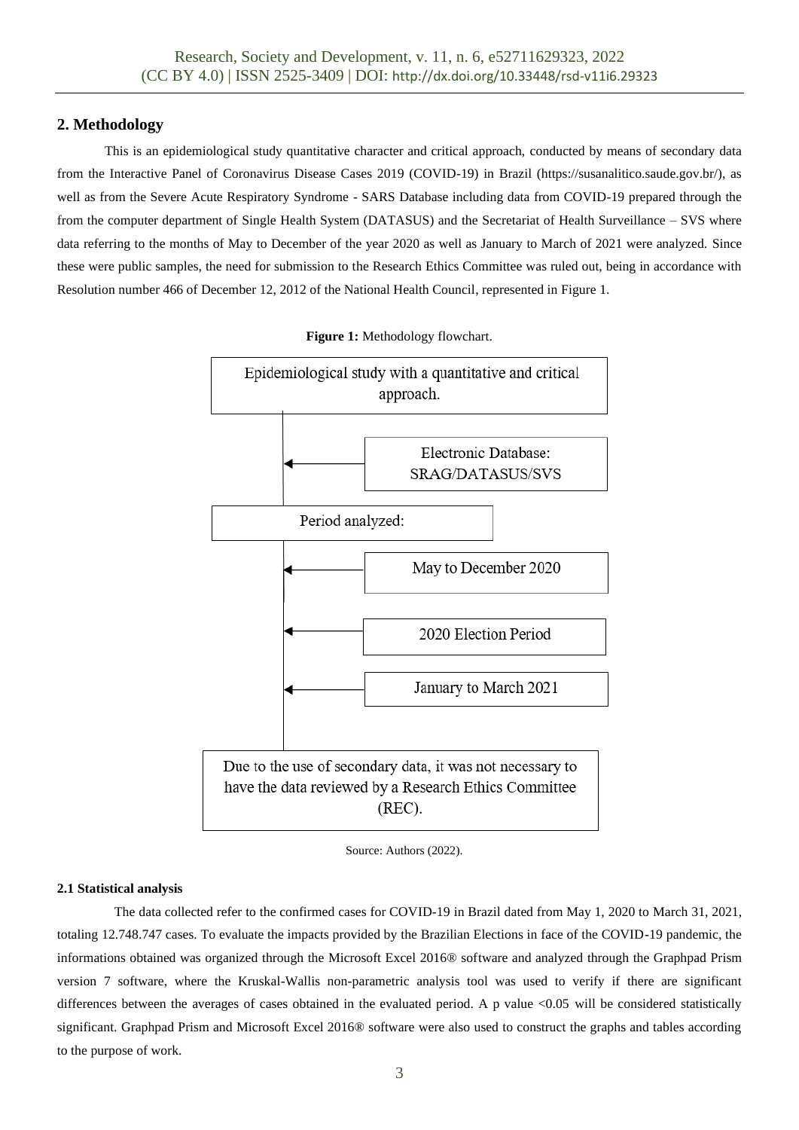## **2. Methodology**

This is an epidemiological study quantitative character and critical approach, conducted by means of secondary data from the Interactive Panel of Coronavirus Disease Cases 2019 (COVID-19) in Brazil (https://susanalitico.saude.gov.br/), as well as from the Severe Acute Respiratory Syndrome - SARS Database including data from COVID-19 prepared through the from the computer department of Single Health System (DATASUS) and the Secretariat of Health Surveillance – SVS where data referring to the months of May to December of the year 2020 as well as January to March of 2021 were analyzed. Since these were public samples, the need for submission to the Research Ethics Committee was ruled out, being in accordance with Resolution number 466 of December 12, 2012 of the National Health Council, represented in Figure 1.



**Figure 1:** Methodology flowchart.

Source: Authors (2022).

### **2.1 Statistical analysis**

The data collected refer to the confirmed cases for COVID-19 in Brazil dated from May 1, 2020 to March 31, 2021, totaling 12.748.747 cases. To evaluate the impacts provided by the Brazilian Elections in face of the COVID-19 pandemic, the informations obtained was organized through the Microsoft Excel 2016® software and analyzed through the Graphpad Prism version 7 software, where the Kruskal-Wallis non-parametric analysis tool was used to verify if there are significant differences between the averages of cases obtained in the evaluated period. A p value <0.05 will be considered statistically significant. Graphpad Prism and Microsoft Excel 2016® software were also used to construct the graphs and tables according to the purpose of work.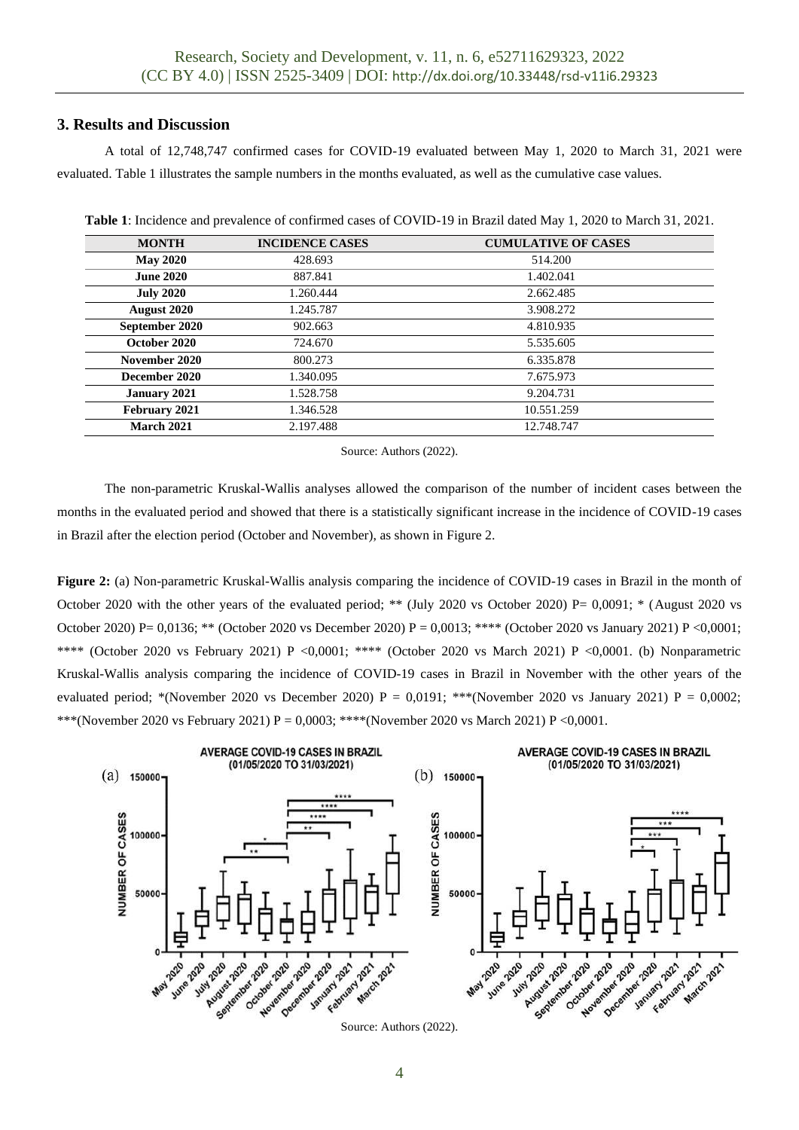# **3. Results and Discussion**

A total of 12,748,747 confirmed cases for COVID-19 evaluated between May 1, 2020 to March 31, 2021 were evaluated. Table 1 illustrates the sample numbers in the months evaluated, as well as the cumulative case values.

| <b>Table 1:</b> Incidence and prevalence of confirmed cases of COVID-19 in Brazil dated May 1, 2020 to March 31, 2021. |  |  |
|------------------------------------------------------------------------------------------------------------------------|--|--|
|                                                                                                                        |  |  |

| <b>MONTH</b>       | <b>INCIDENCE CASES</b> | <b>CUMULATIVE OF CASES</b> |
|--------------------|------------------------|----------------------------|
| <b>May 2020</b>    | 428.693                | 514.200                    |
| <b>June 2020</b>   | 887.841                | 1.402.041                  |
| <b>July 2020</b>   | 1.260.444              | 2.662.485                  |
| <b>August 2020</b> | 1.245.787              | 3.908.272                  |
| September 2020     | 902.663                | 4.810.935                  |
| October 2020       | 724.670                | 5.535.605                  |
| November 2020      | 800.273                | 6.335.878                  |
| December 2020      | 1.340.095              | 7.675.973                  |
| January 2021       | 1.528.758              | 9.204.731                  |
| February 2021      | 1.346.528              | 10.551.259                 |
| <b>March 2021</b>  | 2.197.488              | 12.748.747                 |

Source: Authors (2022).

The non-parametric Kruskal-Wallis analyses allowed the comparison of the number of incident cases between the months in the evaluated period and showed that there is a statistically significant increase in the incidence of COVID-19 cases in Brazil after the election period (October and November), as shown in Figure 2.

**Figure 2:** (a) Non-parametric Kruskal-Wallis analysis comparing the incidence of COVID-19 cases in Brazil in the month of October 2020 with the other years of the evaluated period; \*\* (July 2020 vs October 2020) P=  $0.0091$ ; \* (August 2020 vs October 2020) P= 0,0136; \*\* (October 2020 vs December 2020) P = 0,0013; \*\*\*\* (October 2020 vs January 2021) P <0,0001; \*\*\*\* (October 2020 vs February 2021) P <0,0001; \*\*\*\* (October 2020 vs March 2021) P <0,0001. (b) Nonparametric Kruskal-Wallis analysis comparing the incidence of COVID-19 cases in Brazil in November with the other years of the evaluated period; \*(November 2020 vs December 2020)  $P = 0.0191$ ; \*\*\*(November 2020 vs January 2021)  $P = 0.0002$ ; \*\*\*(November 2020 vs February 2021) P = 0,0003; \*\*\*\*(November 2020 vs March 2021) P <0,0001.

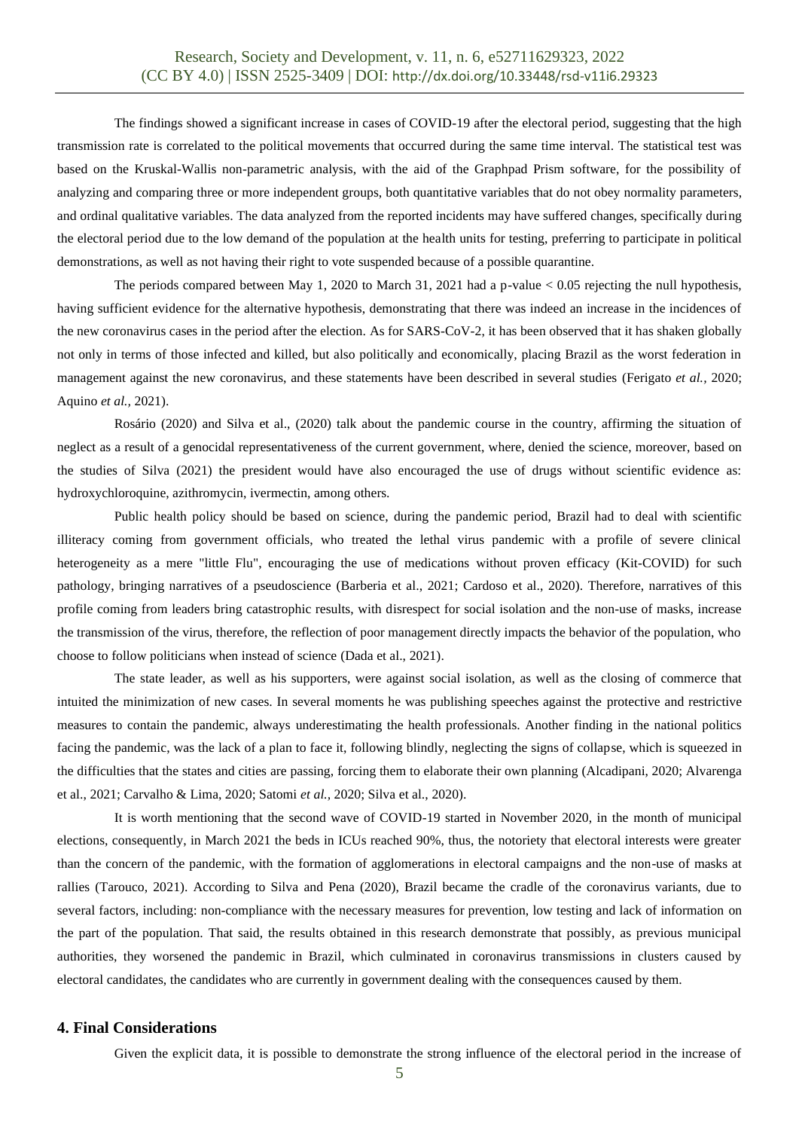The findings showed a significant increase in cases of COVID-19 after the electoral period, suggesting that the high transmission rate is correlated to the political movements that occurred during the same time interval. The statistical test was based on the Kruskal-Wallis non-parametric analysis, with the aid of the Graphpad Prism software, for the possibility of analyzing and comparing three or more independent groups, both quantitative variables that do not obey normality parameters, and ordinal qualitative variables. The data analyzed from the reported incidents may have suffered changes, specifically during the electoral period due to the low demand of the population at the health units for testing, preferring to participate in political demonstrations, as well as not having their right to vote suspended because of a possible quarantine.

The periods compared between May 1, 2020 to March 31, 2021 had a p-value < 0.05 rejecting the null hypothesis, having sufficient evidence for the alternative hypothesis, demonstrating that there was indeed an increase in the incidences of the new coronavirus cases in the period after the election. As for SARS-CoV-2, it has been observed that it has shaken globally not only in terms of those infected and killed, but also politically and economically, placing Brazil as the worst federation in management against the new coronavirus, and these statements have been described in several studies (Ferigato *et al.,* 2020; Aquino *et al.,* 2021).

Rosário (2020) and Silva et al., (2020) talk about the pandemic course in the country, affirming the situation of neglect as a result of a genocidal representativeness of the current government, where, denied the science, moreover, based on the studies of Silva (2021) the president would have also encouraged the use of drugs without scientific evidence as: hydroxychloroquine, azithromycin, ivermectin, among others.

Public health policy should be based on science, during the pandemic period, Brazil had to deal with scientific illiteracy coming from government officials, who treated the lethal virus pandemic with a profile of severe clinical heterogeneity as a mere "little Flu", encouraging the use of medications without proven efficacy (Kit-COVID) for such pathology, bringing narratives of a pseudoscience (Barberia et al., 2021; Cardoso et al., 2020). Therefore, narratives of this profile coming from leaders bring catastrophic results, with disrespect for social isolation and the non-use of masks, increase the transmission of the virus, therefore, the reflection of poor management directly impacts the behavior of the population, who choose to follow politicians when instead of science (Dada et al., 2021).

The state leader, as well as his supporters, were against social isolation, as well as the closing of commerce that intuited the minimization of new cases. In several moments he was publishing speeches against the protective and restrictive measures to contain the pandemic, always underestimating the health professionals. Another finding in the national politics facing the pandemic, was the lack of a plan to face it, following blindly, neglecting the signs of collapse, which is squeezed in the difficulties that the states and cities are passing, forcing them to elaborate their own planning (Alcadipani, 2020; Alvarenga et al., 2021; Carvalho & Lima, 2020; Satomi *et al.,* 2020; Silva et al., 2020).

It is worth mentioning that the second wave of COVID-19 started in November 2020, in the month of municipal elections, consequently, in March 2021 the beds in ICUs reached 90%, thus, the notoriety that electoral interests were greater than the concern of the pandemic, with the formation of agglomerations in electoral campaigns and the non-use of masks at rallies (Tarouco, 2021). According to Silva and Pena (2020), Brazil became the cradle of the coronavirus variants, due to several factors, including: non-compliance with the necessary measures for prevention, low testing and lack of information on the part of the population. That said, the results obtained in this research demonstrate that possibly, as previous municipal authorities, they worsened the pandemic in Brazil, which culminated in coronavirus transmissions in clusters caused by electoral candidates, the candidates who are currently in government dealing with the consequences caused by them.

## **4. Final Considerations**

Given the explicit data, it is possible to demonstrate the strong influence of the electoral period in the increase of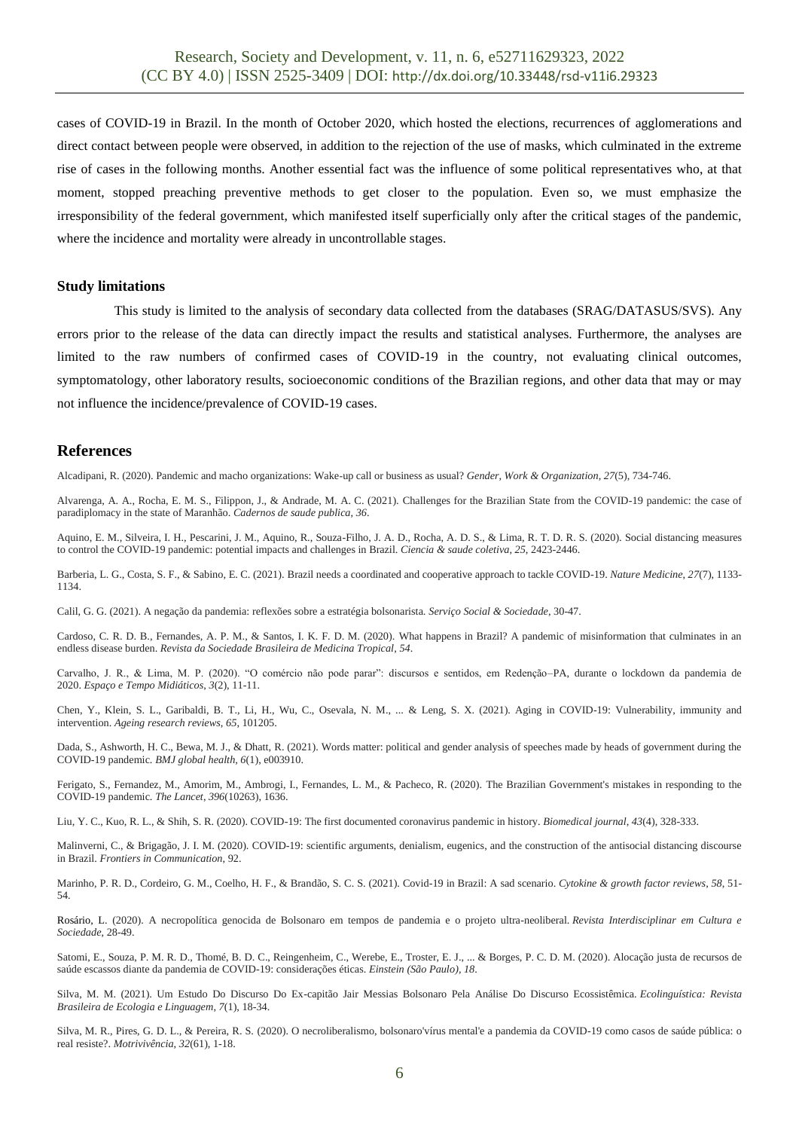cases of COVID-19 in Brazil. In the month of October 2020, which hosted the elections, recurrences of agglomerations and direct contact between people were observed, in addition to the rejection of the use of masks, which culminated in the extreme rise of cases in the following months. Another essential fact was the influence of some political representatives who, at that moment, stopped preaching preventive methods to get closer to the population. Even so, we must emphasize the irresponsibility of the federal government, which manifested itself superficially only after the critical stages of the pandemic, where the incidence and mortality were already in uncontrollable stages.

#### **Study limitations**

This study is limited to the analysis of secondary data collected from the databases (SRAG/DATASUS/SVS). Any errors prior to the release of the data can directly impact the results and statistical analyses. Furthermore, the analyses are limited to the raw numbers of confirmed cases of COVID-19 in the country, not evaluating clinical outcomes, symptomatology, other laboratory results, socioeconomic conditions of the Brazilian regions, and other data that may or may not influence the incidence/prevalence of COVID-19 cases.

#### **References**

Alcadipani, R. (2020). Pandemic and macho organizations: Wake‐up call or business as usual? *Gender, Work & Organization*, *27*(5), 734-746.

Alvarenga, A. A., Rocha, E. M. S., Filippon, J., & Andrade, M. A. C. (2021). Challenges for the Brazilian State from the COVID-19 pandemic: the case of paradiplomacy in the state of Maranhão. *Cadernos de saude publica*, *36*.

Aquino, E. M., Silveira, I. H., Pescarini, J. M., Aquino, R., Souza-Filho, J. A. D., Rocha, A. D. S., & Lima, R. T. D. R. S. (2020). Social distancing measures to control the COVID-19 pandemic: potential impacts and challenges in Brazil. *Ciencia & saude coletiva*, *25*, 2423-2446.

Barberia, L. G., Costa, S. F., & Sabino, E. C. (2021). Brazil needs a coordinated and cooperative approach to tackle COVID-19. *Nature Medicine*, *27*(7), 1133- 1134.

Calil, G. G. (2021). A negação da pandemia: reflexões sobre a estratégia bolsonarista. *Serviço Social & Sociedade*, 30-47.

Cardoso, C. R. D. B., Fernandes, A. P. M., & Santos, I. K. F. D. M. (2020). What happens in Brazil? A pandemic of misinformation that culminates in an endless disease burden. *Revista da Sociedade Brasileira de Medicina Tropical*, *54*.

Carvalho, J. R., & Lima, M. P. (2020). "O comércio não pode parar": discursos e sentidos, em Redenção–PA, durante o lockdown da pandemia de 2020. *Espaço e Tempo Midiáticos*, *3*(2), 11-11.

Chen, Y., Klein, S. L., Garibaldi, B. T., Li, H., Wu, C., Osevala, N. M., ... & Leng, S. X. (2021). Aging in COVID-19: Vulnerability, immunity and intervention. *Ageing research reviews*, *65*, 101205.

Dada, S., Ashworth, H. C., Bewa, M. J., & Dhatt, R. (2021). Words matter: political and gender analysis of speeches made by heads of government during the COVID-19 pandemic. *BMJ global health*, *6*(1), e003910.

Ferigato, S., Fernandez, M., Amorim, M., Ambrogi, I., Fernandes, L. M., & Pacheco, R. (2020). The Brazilian Government's mistakes in responding to the COVID-19 pandemic. *The Lancet*, *396*(10263), 1636.

Liu, Y. C., Kuo, R. L., & Shih, S. R. (2020). COVID-19: The first documented coronavirus pandemic in history. *Biomedical journal*, *43*(4), 328-333.

Malinverni, C., & Brigagão, J. I. M. (2020). COVID-19: scientific arguments, denialism, eugenics, and the construction of the antisocial distancing discourse in Brazil. *Frontiers in Communication*, 92.

Marinho, P. R. D., Cordeiro, G. M., Coelho, H. F., & Brandão, S. C. S. (2021). Covid-19 in Brazil: A sad scenario. *Cytokine & growth factor reviews*, *58*, 51- 54.

Rosário, L. (2020). A necropolítica genocida de Bolsonaro em tempos de pandemia e o projeto ultra-neoliberal. *Revista Interdisciplinar em Cultura e Sociedade*, 28-49.

Satomi, E., Souza, P. M. R. D., Thomé, B. D. C., Reingenheim, C., Werebe, E., Troster, E. J., ... & Borges, P. C. D. M. (2020). Alocação justa de recursos de saúde escassos diante da pandemia de COVID-19: considerações éticas. *Einstein (São Paulo)*, *18*.

Silva, M. M. (2021). Um Estudo Do Discurso Do Ex-capitão Jair Messias Bolsonaro Pela Análise Do Discurso Ecossistêmica. *Ecolinguística: Revista Brasileira de Ecologia e Linguagem*, *7*(1), 18-34.

Silva, M. R., Pires, G. D. L., & Pereira, R. S. (2020). O necroliberalismo, bolsonaro'vírus mental'e a pandemia da COVID-19 como casos de saúde pública: o real resiste?. *Motrivivência*, *32*(61), 1-18.